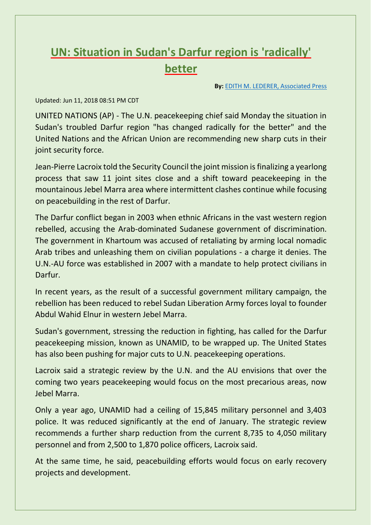## **UN: Situation in Sudan's Darfur region is 'radically' better**

**By:** [EDITH M. LEDERER, Associated Press](http://www.rocketcitynow.com/news/un-situation-in-sudans-darfur-region-is-radically-better/1232534410)

## Updated: Jun 11, 2018 08:51 PM CDT

UNITED NATIONS (AP) - The U.N. peacekeeping chief said Monday the situation in Sudan's troubled Darfur region "has changed radically for the better" and the United Nations and the African Union are recommending new sharp cuts in their joint security force.

Jean-Pierre Lacroix told the Security Council the joint mission is finalizing a yearlong process that saw 11 joint sites close and a shift toward peacekeeping in the mountainous Jebel Marra area where intermittent clashes continue while focusing on peacebuilding in the rest of Darfur.

The Darfur conflict began in 2003 when ethnic Africans in the vast western region rebelled, accusing the Arab-dominated Sudanese government of discrimination. The government in Khartoum was accused of retaliating by arming local nomadic Arab tribes and unleashing them on civilian populations - a charge it denies. The U.N.-AU force was established in 2007 with a mandate to help protect civilians in Darfur.

In recent years, as the result of a successful government military campaign, the rebellion has been reduced to rebel Sudan Liberation Army forces loyal to founder Abdul Wahid Elnur in western Jebel Marra.

Sudan's government, stressing the reduction in fighting, has called for the Darfur peacekeeping mission, known as UNAMID, to be wrapped up. The United States has also been pushing for major cuts to U.N. peacekeeping operations.

Lacroix said a strategic review by the U.N. and the AU envisions that over the coming two years peacekeeping would focus on the most precarious areas, now Jebel Marra.

Only a year ago, UNAMID had a ceiling of 15,845 military personnel and 3,403 police. It was reduced significantly at the end of January. The strategic review recommends a further sharp reduction from the current 8,735 to 4,050 military personnel and from 2,500 to 1,870 police officers, Lacroix said.

At the same time, he said, peacebuilding efforts would focus on early recovery projects and development.